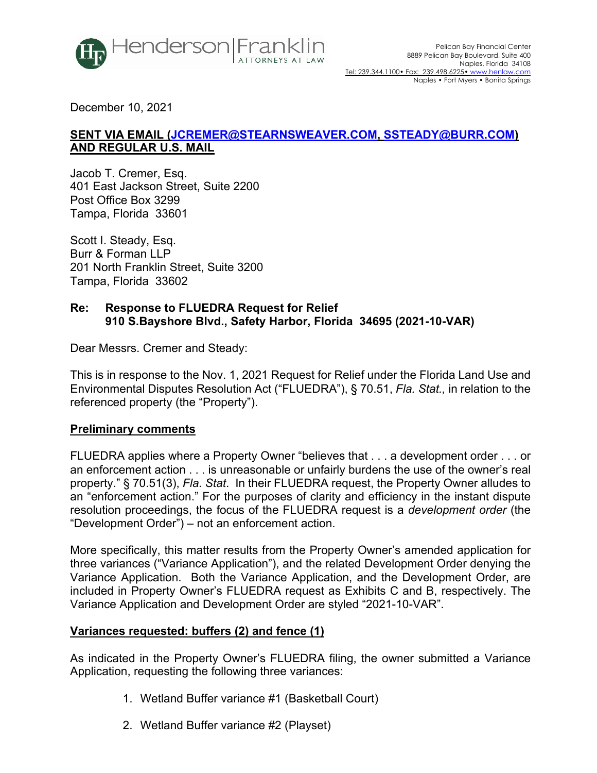

December 10, 2021

# **SENT VIA EMAIL (JCREMER@STEARNSWEAVER.COM, SSTEADY@BURR.COM) AND REGULAR U.S. MAIL**

Jacob T. Cremer, Esq. 401 East Jackson Street, Suite 2200 Post Office Box 3299 Tampa, Florida 33601

Scott I. Steady, Esq. Burr & Forman LLP 201 North Franklin Street, Suite 3200 Tampa, Florida 33602

## **Re: Response to FLUEDRA Request for Relief 910 S.Bayshore Blvd., Safety Harbor, Florida 34695 (2021-10-VAR)**

Dear Messrs. Cremer and Steady:

This is in response to the Nov. 1, 2021 Request for Relief under the Florida Land Use and Environmental Disputes Resolution Act ("FLUEDRA"), § 70.51, *Fla. Stat.,* in relation to the referenced property (the "Property").

## **Preliminary comments**

FLUEDRA applies where a Property Owner "believes that . . . a development order . . . or an enforcement action . . . is unreasonable or unfairly burdens the use of the owner's real property." § 70.51(3), *Fla. Stat*. In their FLUEDRA request, the Property Owner alludes to an "enforcement action." For the purposes of clarity and efficiency in the instant dispute resolution proceedings, the focus of the FLUEDRA request is a *development order* (the "Development Order") – not an enforcement action.

More specifically, this matter results from the Property Owner's amended application for three variances ("Variance Application"), and the related Development Order denying the Variance Application. Both the Variance Application, and the Development Order, are included in Property Owner's FLUEDRA request as Exhibits C and B, respectively. The Variance Application and Development Order are styled "2021-10-VAR".

## **Variances requested: buffers (2) and fence (1)**

As indicated in the Property Owner's FLUEDRA filing, the owner submitted a Variance Application, requesting the following three variances:

- 1. Wetland Buffer variance #1 (Basketball Court)
- 2. Wetland Buffer variance #2 (Playset)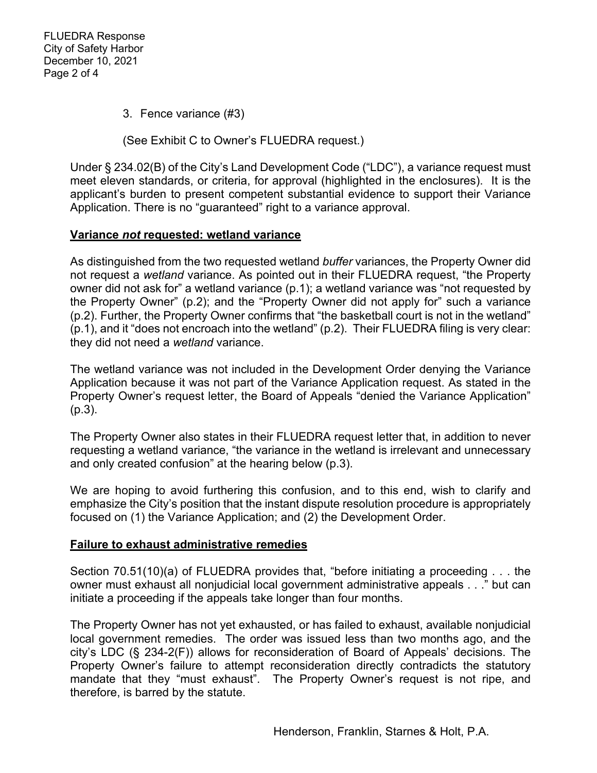3. Fence variance (#3)

(See Exhibit C to Owner's FLUEDRA request.)

Under § 234.02(B) of the City's Land Development Code ("LDC"), a variance request must meet eleven standards, or criteria, for approval (highlighted in the enclosures). It is the applicant's burden to present competent substantial evidence to support their Variance Application. There is no "guaranteed" right to a variance approval.

## **Variance** *not* **requested: wetland variance**

As distinguished from the two requested wetland *buffer* variances, the Property Owner did not request a *wetland* variance. As pointed out in their FLUEDRA request, "the Property owner did not ask for" a wetland variance (p.1); a wetland variance was "not requested by the Property Owner" (p.2); and the "Property Owner did not apply for" such a variance (p.2). Further, the Property Owner confirms that "the basketball court is not in the wetland" (p.1), and it "does not encroach into the wetland" (p.2). Their FLUEDRA filing is very clear: they did not need a *wetland* variance.

The wetland variance was not included in the Development Order denying the Variance Application because it was not part of the Variance Application request. As stated in the Property Owner's request letter, the Board of Appeals "denied the Variance Application" (p.3).

The Property Owner also states in their FLUEDRA request letter that, in addition to never requesting a wetland variance, "the variance in the wetland is irrelevant and unnecessary and only created confusion" at the hearing below (p.3).

We are hoping to avoid furthering this confusion, and to this end, wish to clarify and emphasize the City's position that the instant dispute resolution procedure is appropriately focused on (1) the Variance Application; and (2) the Development Order.

## **Failure to exhaust administrative remedies**

Section 70.51(10)(a) of FLUEDRA provides that, "before initiating a proceeding . . . the owner must exhaust all nonjudicial local government administrative appeals . . ." but can initiate a proceeding if the appeals take longer than four months.

The Property Owner has not yet exhausted, or has failed to exhaust, available nonjudicial local government remedies. The order was issued less than two months ago, and the city's LDC (§ 234-2(F)) allows for reconsideration of Board of Appeals' decisions. The Property Owner's failure to attempt reconsideration directly contradicts the statutory mandate that they "must exhaust". The Property Owner's request is not ripe, and therefore, is barred by the statute.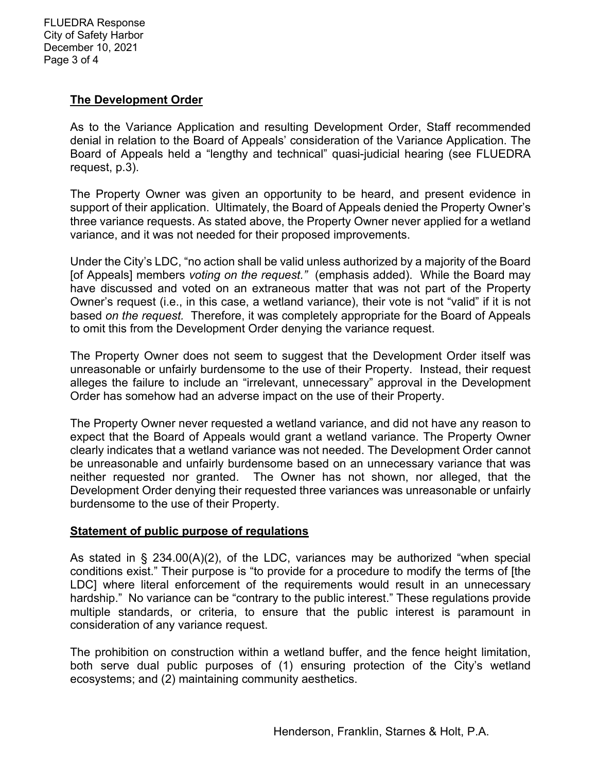FLUEDRA Response City of Safety Harbor December 10, 2021 Page 3 of 4

## **The Development Order**

As to the Variance Application and resulting Development Order, Staff recommended denial in relation to the Board of Appeals' consideration of the Variance Application. The Board of Appeals held a "lengthy and technical" quasi-judicial hearing (see FLUEDRA request, p.3).

The Property Owner was given an opportunity to be heard, and present evidence in support of their application. Ultimately, the Board of Appeals denied the Property Owner's three variance requests. As stated above, the Property Owner never applied for a wetland variance, and it was not needed for their proposed improvements.

Under the City's LDC, "no action shall be valid unless authorized by a majority of the Board [of Appeals] members *voting on the request."* (emphasis added). While the Board may have discussed and voted on an extraneous matter that was not part of the Property Owner's request (i.e., in this case, a wetland variance), their vote is not "valid" if it is not based *on the request.* Therefore, it was completely appropriate for the Board of Appeals to omit this from the Development Order denying the variance request.

The Property Owner does not seem to suggest that the Development Order itself was unreasonable or unfairly burdensome to the use of their Property. Instead, their request alleges the failure to include an "irrelevant, unnecessary" approval in the Development Order has somehow had an adverse impact on the use of their Property.

The Property Owner never requested a wetland variance, and did not have any reason to expect that the Board of Appeals would grant a wetland variance. The Property Owner clearly indicates that a wetland variance was not needed. The Development Order cannot be unreasonable and unfairly burdensome based on an unnecessary variance that was neither requested nor granted. The Owner has not shown, nor alleged, that the Development Order denying their requested three variances was unreasonable or unfairly burdensome to the use of their Property.

### **Statement of public purpose of regulations**

As stated in § 234.00(A)(2), of the LDC, variances may be authorized "when special conditions exist." Their purpose is "to provide for a procedure to modify the terms of [the LDC] where literal enforcement of the requirements would result in an unnecessary hardship." No variance can be "contrary to the public interest." These regulations provide multiple standards, or criteria, to ensure that the public interest is paramount in consideration of any variance request.

The prohibition on construction within a wetland buffer, and the fence height limitation, both serve dual public purposes of (1) ensuring protection of the City's wetland ecosystems; and (2) maintaining community aesthetics.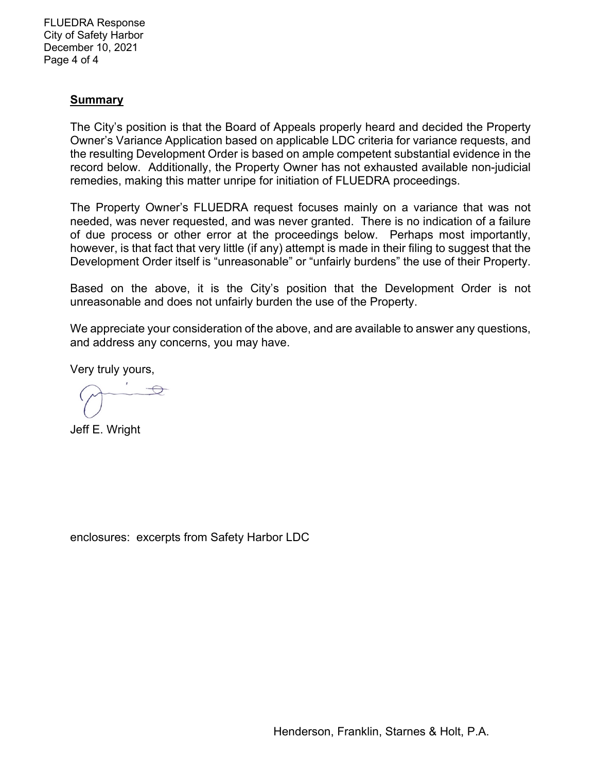FLUEDRA Response City of Safety Harbor December 10, 2021 Page 4 of 4

### **Summary**

The City's position is that the Board of Appeals properly heard and decided the Property Owner's Variance Application based on applicable LDC criteria for variance requests, and the resulting Development Order is based on ample competent substantial evidence in the record below. Additionally, the Property Owner has not exhausted available non-judicial remedies, making this matter unripe for initiation of FLUEDRA proceedings.

The Property Owner's FLUEDRA request focuses mainly on a variance that was not needed, was never requested, and was never granted. There is no indication of a failure of due process or other error at the proceedings below. Perhaps most importantly, however, is that fact that very little (if any) attempt is made in their filing to suggest that the Development Order itself is "unreasonable" or "unfairly burdens" the use of their Property.

Based on the above, it is the City's position that the Development Order is not unreasonable and does not unfairly burden the use of the Property.

We appreciate your consideration of the above, and are available to answer any questions, and address any concerns, you may have.

Very truly yours,

Jeff E. Wright

enclosures: excerpts from Safety Harbor LDC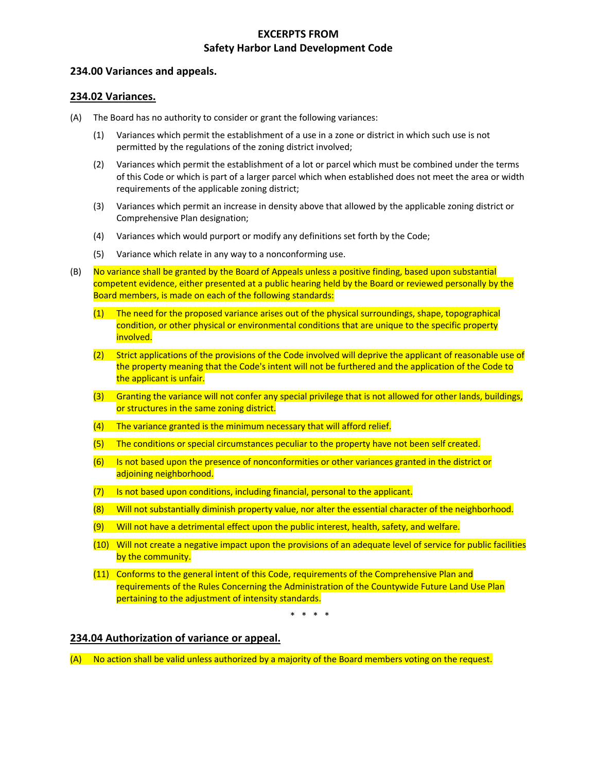### **EXCERPTS FROM Safety Harbor Land Development Code**

#### **234.00 Variances and appeals.**

#### **234.02 Variances.**

- (A) The Board has no authority to consider or grant the following variances:
	- (1) Variances which permit the establishment of a use in a zone or district in which such use is not permitted by the regulations of the zoning district involved;
	- (2) Variances which permit the establishment of a lot or parcel which must be combined under the terms of this Code or which is part of a larger parcel which when established does not meet the area or width requirements of the applicable zoning district;
	- (3) Variances which permit an increase in density above that allowed by the applicable zoning district or Comprehensive Plan designation;
	- (4) Variances which would purport or modify any definitions set forth by the Code;
	- (5) Variance which relate in any way to a nonconforming use.
- (B) No variance shall be granted by the Board of Appeals unless a positive finding, based upon substantial competent evidence, either presented at a public hearing held by the Board or reviewed personally by the Board members, is made on each of the following standards:
	- (1) The need for the proposed variance arises out of the physical surroundings, shape, topographical condition, or other physical or environmental conditions that are unique to the specific property involved.
	- (2) Strict applications of the provisions of the Code involved will deprive the applicant of reasonable use of the property meaning that the Code's intent will not be furthered and the application of the Code to the applicant is unfair.
	- (3) Granting the variance will not confer any special privilege that is not allowed for other lands, buildings, or structures in the same zoning district.
	- (4) The variance granted is the minimum necessary that will afford relief.
	- (5) The conditions or special circumstances peculiar to the property have not been self created.
	- (6) Is not based upon the presence of nonconformities or other variances granted in the district or adjoining neighborhood.
	- (7) Is not based upon conditions, including financial, personal to the applicant.
	- (8) Will not substantially diminish property value, nor alter the essential character of the neighborhood.
	- (9) Will not have a detrimental effect upon the public interest, health, safety, and welfare.
	- (10) Will not create a negative impact upon the provisions of an adequate level of service for public facilities by the community.
	- (11) Conforms to the general intent of this Code, requirements of the Comprehensive Plan and requirements of the Rules Concerning the Administration of the Countywide Future Land Use Plan pertaining to the adjustment of intensity standards.

\* \* \* \*

#### **234.04 Authorization of variance or appeal.**

(A) No action shall be valid unless authorized by a majority of the Board members voting on the request.